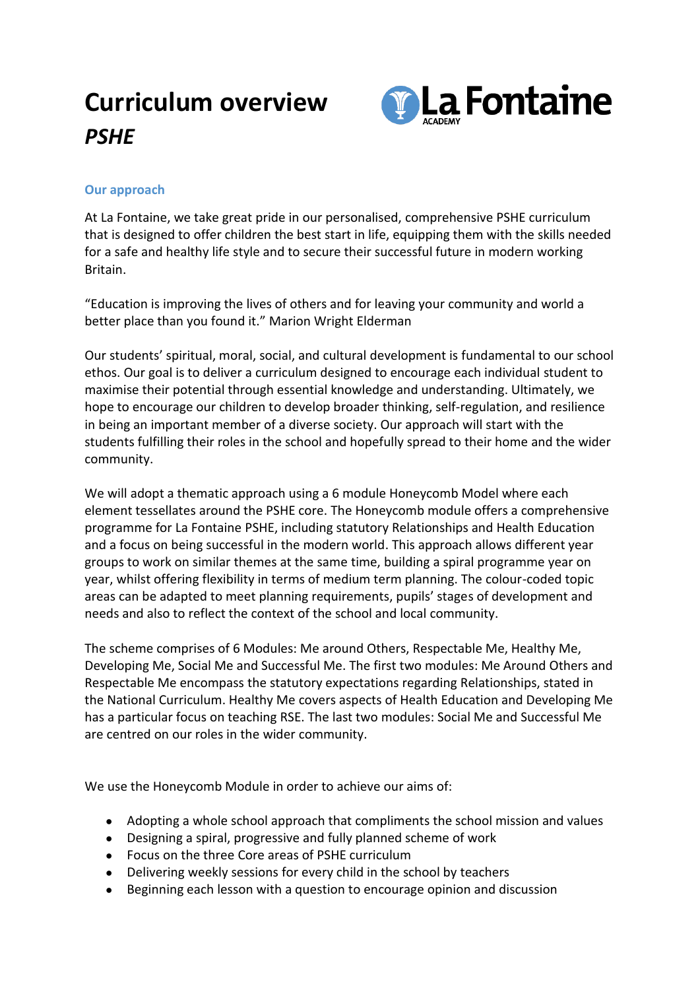## **Curriculum overview** *PSHE*



## **Our approach**

At La Fontaine, we take great pride in our personalised, comprehensive PSHE curriculum that is designed to offer children the best start in life, equipping them with the skills needed for a safe and healthy life style and to secure their successful future in modern working Britain.

"Education is improving the lives of others and for leaving your community and world a better place than you found it." Marion Wright Elderman

Our students' spiritual, moral, social, and cultural development is fundamental to our school ethos. Our goal is to deliver a curriculum designed to encourage each individual student to maximise their potential through essential knowledge and understanding. Ultimately, we hope to encourage our children to develop broader thinking, self-regulation, and resilience in being an important member of a diverse society. Our approach will start with the students fulfilling their roles in the school and hopefully spread to their home and the wider community.

We will adopt a thematic approach using a 6 module Honeycomb Model where each element tessellates around the PSHE core. The Honeycomb module offers a comprehensive programme for La Fontaine PSHE, including statutory Relationships and Health Education and a focus on being successful in the modern world. This approach allows different year groups to work on similar themes at the same time, building a spiral programme year on year, whilst offering flexibility in terms of medium term planning. The colour-coded topic areas can be adapted to meet planning requirements, pupils' stages of development and needs and also to reflect the context of the school and local community.

The scheme comprises of 6 Modules: Me around Others, Respectable Me, Healthy Me, Developing Me, Social Me and Successful Me. The first two modules: Me Around Others and Respectable Me encompass the statutory expectations regarding Relationships, stated in the National Curriculum. Healthy Me covers aspects of Health Education and Developing Me has a particular focus on teaching RSE. The last two modules: Social Me and Successful Me are centred on our roles in the wider community.

We use the Honeycomb Module in order to achieve our aims of:

- Adopting a whole school approach that compliments the school mission and values
- Designing a spiral, progressive and fully planned scheme of work
- Focus on the three Core areas of PSHE curriculum
- Delivering weekly sessions for every child in the school by teachers
- Beginning each lesson with a question to encourage opinion and discussion